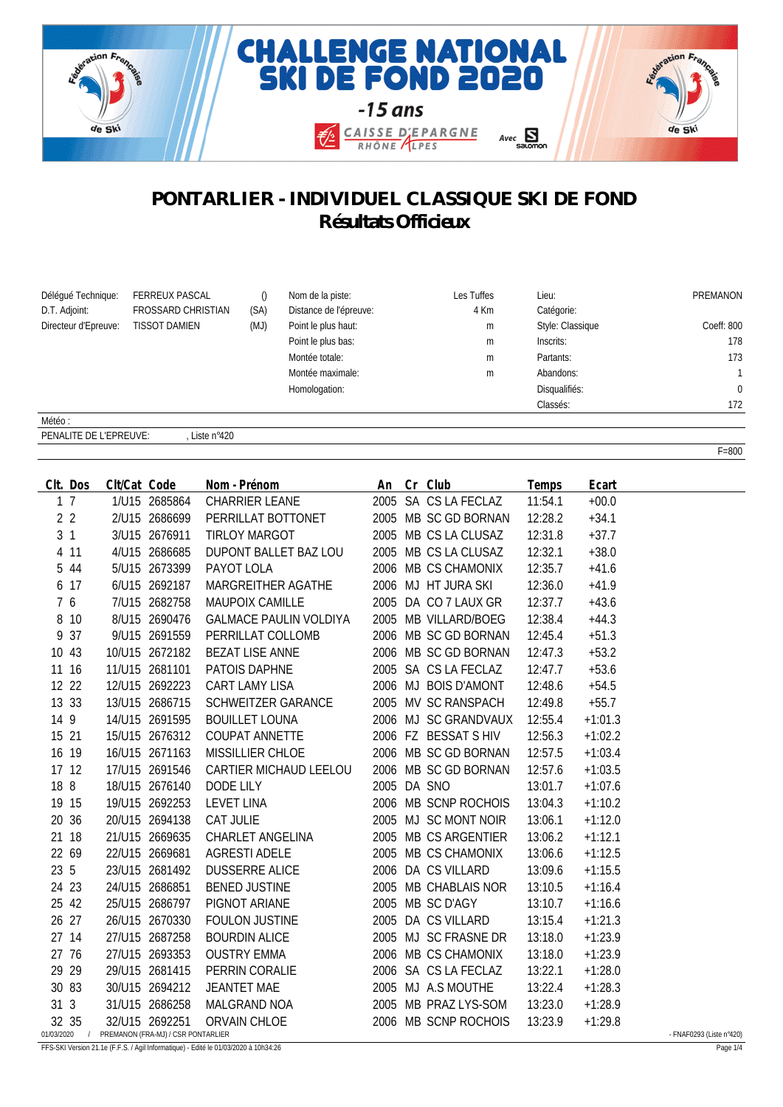

## **PONTARLIER - INDIVIDUEL CLASSIQUE SKI DE FOND Résultats Officieux**

| Déléqué Technique:   | <b>FERREUX PASCAL</b>     |      | Nom de la piste:       | Les Tuffes | Lieu:            | PREMANON     |
|----------------------|---------------------------|------|------------------------|------------|------------------|--------------|
| D.T. Adjoint:        | <b>FROSSARD CHRISTIAN</b> | (SA) | Distance de l'épreuve: | 4 Km       | Catégorie:       |              |
| Directeur d'Epreuve: | <b>TISSOT DAMIEN</b>      | (MJ) | Point le plus haut:    | m          | Style: Classique | Coeff: 800   |
|                      |                           |      | Point le plus bas:     | m          | Inscrits:        | 178          |
|                      |                           |      | Montée totale:         | m          | Partants:        | 173          |
|                      |                           |      | Montée maximale:       | m          | Abandons:        |              |
|                      |                           |      | Homologation:          |            | Disqualifiés:    | $\mathbf{0}$ |
|                      |                           |      |                        |            | Classés:         | 172          |
| Météo:               |                           |      |                        |            |                  |              |

PENALITE DE L'EPREUVE: , Liste n°420

| CIt. Dos       | Clt/Cat Code |                                                                   | Nom - Prénom                  | An Cr Club |                      | Temps   | Ecart     |                          |
|----------------|--------------|-------------------------------------------------------------------|-------------------------------|------------|----------------------|---------|-----------|--------------------------|
| 1 <sub>7</sub> |              | 1/U15 2685864                                                     | <b>CHARRIER LEANE</b>         |            | 2005 SA CS LA FECLAZ | 11:54.1 | $+00.0$   |                          |
| 2 <sub>2</sub> |              | 2/U15 2686699                                                     | PERRILLAT BOTTONET            |            | 2005 MB SC GD BORNAN | 12:28.2 | $+34.1$   |                          |
| 3 <sub>1</sub> |              | 3/U15 2676911                                                     | TIRLOY MARGOT                 |            | 2005 MB CS LA CLUSAZ | 12:31.8 | $+37.7$   |                          |
| 4 11           |              | 4/U15 2686685                                                     | DUPONT BALLET BAZ LOU         |            | 2005 MB CS LA CLUSAZ | 12:32.1 | $+38.0$   |                          |
| 5 44           |              | 5/U15 2673399                                                     | PAYOT LOLA                    |            | 2006 MB CS CHAMONIX  | 12:35.7 | $+41.6$   |                          |
| 6 17           |              | 6/U15 2692187                                                     | MARGREITHER AGATHE            |            | 2006 MJ HT JURA SKI  | 12:36.0 | $+41.9$   |                          |
| 7 6            |              | 7/U15 2682758                                                     | <b>MAUPOIX CAMILLE</b>        |            | 2005 DA CO 7 LAUX GR | 12:37.7 | $+43.6$   |                          |
| 8 10           |              | 8/U15 2690476                                                     | <b>GALMACE PAULIN VOLDIYA</b> |            | 2005 MB VILLARD/BOEG | 12:38.4 | $+44.3$   |                          |
| 9 37           |              | 9/U15 2691559                                                     | PERRILLAT COLLOMB             |            | 2006 MB SC GD BORNAN | 12:45.4 | $+51.3$   |                          |
| 10 43          |              | 10/U15 2672182                                                    | BEZAT LISE ANNE               |            | 2006 MB SC GD BORNAN | 12:47.3 | $+53.2$   |                          |
| 11 16          |              | 11/U15 2681101                                                    | PATOIS DAPHNE                 |            | 2005 SA CS LA FECLAZ | 12:47.7 | $+53.6$   |                          |
| 12 22          |              | 12/U15 2692223                                                    | CART LAMY LISA                |            | 2006 MJ BOIS D'AMONT | 12:48.6 | $+54.5$   |                          |
| 13 33          |              | 13/U15 2686715                                                    | SCHWEITZER GARANCE            |            | 2005 MV SC RANSPACH  | 12:49.8 | $+55.7$   |                          |
| 14 9           |              | 14/U15 2691595                                                    | <b>BOUILLET LOUNA</b>         |            | 2006 MJ SC GRANDVAUX | 12:55.4 | $+1:01.3$ |                          |
| 15 21          |              | 15/U15 2676312                                                    | <b>COUPAT ANNETTE</b>         |            | 2006 FZ BESSAT S HIV | 12:56.3 | $+1:02.2$ |                          |
| 16 19          |              | 16/U15 2671163                                                    | MISSILLIER CHLOE              |            | 2006 MB SC GD BORNAN | 12:57.5 | $+1:03.4$ |                          |
| 17 12          |              | 17/U15 2691546                                                    | CARTIER MICHAUD LEELOU        |            | 2006 MB SC GD BORNAN | 12:57.6 | $+1:03.5$ |                          |
| 18 8           |              | 18/U15 2676140                                                    | DODE LILY                     |            | 2005 DA SNO          | 13:01.7 | $+1:07.6$ |                          |
| 19 15          |              | 19/U15 2692253                                                    | LEVET LINA                    |            | 2006 MB SCNP ROCHOIS | 13:04.3 | $+1:10.2$ |                          |
| 20 36          |              | 20/U15 2694138                                                    | CAT JULIE                     |            | 2005 MJ SC MONT NOIR | 13:06.1 | $+1:12.0$ |                          |
| 21 18          |              | 21/U15 2669635                                                    | CHARLET ANGELINA              |            | 2005 MB CS ARGENTIER | 13:06.2 | $+1:12.1$ |                          |
| 22 69          |              | 22/U15 2669681                                                    | <b>AGRESTI ADELE</b>          |            | 2005 MB CS CHAMONIX  | 13:06.6 | $+1:12.5$ |                          |
| 23 5           |              | 23/U15 2681492                                                    | DUSSERRE ALICE                |            | 2006 DA CS VILLARD   | 13:09.6 | $+1:15.5$ |                          |
| 24 23          |              | 24/U15 2686851                                                    | <b>BENED JUSTINE</b>          |            | 2005 MB CHABLAIS NOR | 13:10.5 | $+1:16.4$ |                          |
| 25 42          |              | 25/U15 2686797                                                    | PIGNOT ARIANE                 |            | 2005 MB SC D'AGY     | 13:10.7 | $+1:16.6$ |                          |
| 26 27          |              | 26/U15 2670330                                                    | <b>FOULON JUSTINE</b>         |            | 2005 DA CS VILLARD   | 13:15.4 | $+1:21.3$ |                          |
| 27 14          |              | 27/U15 2687258                                                    | <b>BOURDIN ALICE</b>          |            | 2005 MJ SC FRASNE DR | 13:18.0 | $+1:23.9$ |                          |
| 27 76          |              | 27/U15 2693353                                                    | <b>OUSTRY EMMA</b>            |            | 2006 MB CS CHAMONIX  | 13:18.0 | $+1:23.9$ |                          |
| 29 29          |              | 29/U15 2681415                                                    | PERRIN CORALIE                |            | 2006 SA CS LA FECLAZ | 13:22.1 | $+1:28.0$ |                          |
| 30 83          |              | 30/U15 2694212                                                    | JEANTET MAE                   |            | 2005 MJ A.S MOUTHE   | 13:22.4 | $+1:28.3$ |                          |
| 31 3           |              | 31/U15 2686258                                                    | MALGRAND NOA                  |            | 2005 MB PRAZ LYS-SOM | 13:23.0 | $+1:28.9$ |                          |
| 32 35          |              | 32/U15 2692251<br>01/03/2020 / PREMANON (FRA-MJ) / CSR PONTARLIER | ORVAIN CHLOE                  |            | 2006 MB SCNP ROCHOIS | 13:23.9 | $+1:29.8$ | - FNAF0293 (Liste n°420) |

FFS-SKI Version 21.1e (F.F.S. / Agil Informatique) - Edité le 01/03/2020 à 10h34:26 Page 1/4

F=800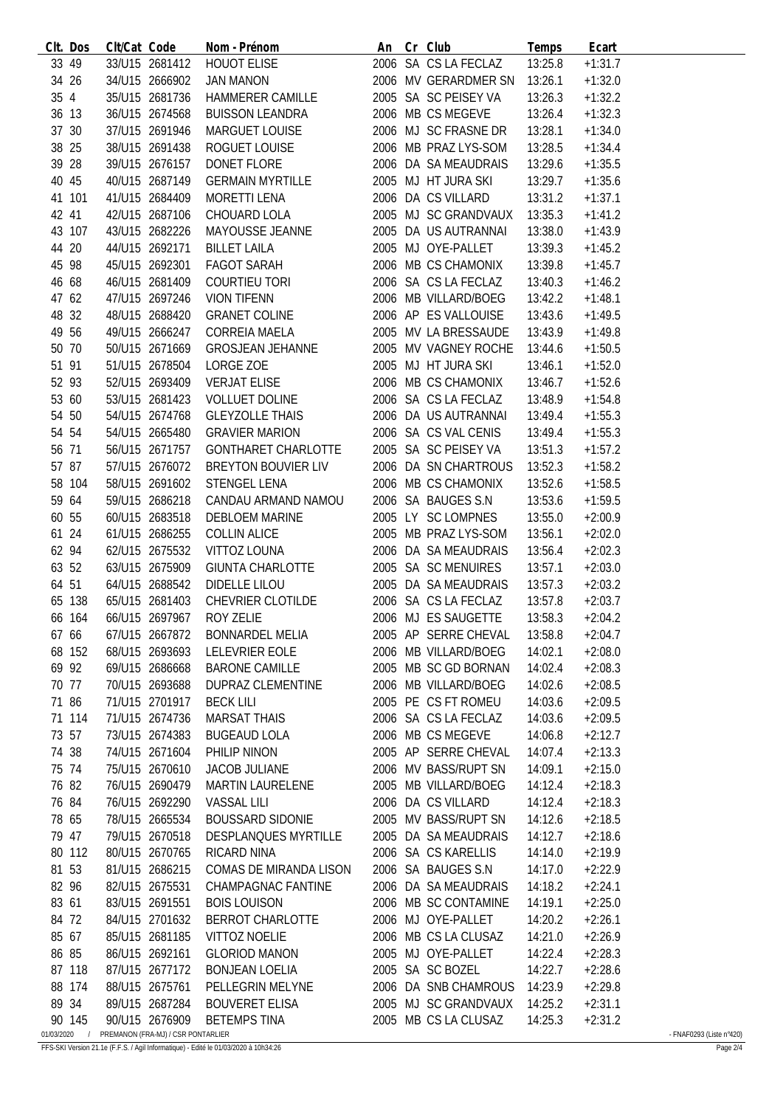|            | CIt. Dos   | Clt/Cat Code |                                    | Nom - Prénom                                                            | An Cr Club |                                      | Temps   | Ecart     |                          |
|------------|------------|--------------|------------------------------------|-------------------------------------------------------------------------|------------|--------------------------------------|---------|-----------|--------------------------|
|            | 33 49      |              | 33/U15 2681412                     | <b>HOUOT ELISE</b>                                                      |            | 2006 SA CS LA FECLAZ                 | 13:25.8 | $+1:31.7$ |                          |
| 34 26      |            |              | 34/U15 2666902                     | JAN MANON                                                               |            | 2006 MV GERARDMER SN                 | 13:26.1 | $+1:32.0$ |                          |
| 35 4       |            |              | 35/U15 2681736                     | HAMMERER CAMILLE                                                        |            | 2005 SA SC PEISEY VA                 | 13:26.3 | $+1:32.2$ |                          |
| 36 13      |            |              | 36/U15 2674568                     | <b>BUISSON LEANDRA</b>                                                  |            | 2006 MB CS MEGEVE                    | 13:26.4 | $+1:32.3$ |                          |
| 37 30      |            |              | 37/U15 2691946                     | MARGUET LOUISE                                                          |            | 2006 MJ SC FRASNE DR                 | 13:28.1 | $+1:34.0$ |                          |
| 38 25      |            |              | 38/U15 2691438                     | ROGUET LOUISE                                                           |            | 2006 MB PRAZ LYS-SOM                 | 13:28.5 | $+1:34.4$ |                          |
| 39 28      |            |              | 39/U15 2676157                     | DONET FLORE                                                             |            | 2006 DA SA MEAUDRAIS                 | 13:29.6 | $+1:35.5$ |                          |
| 40 45      |            |              | 40/U15 2687149                     | <b>GERMAIN MYRTILLE</b>                                                 |            | 2005 MJ HT JURA SKI                  | 13:29.7 | $+1:35.6$ |                          |
|            | 41 101     |              | 41/U15 2684409                     | MORETTI LENA                                                            |            | 2006 DA CS VILLARD                   | 13:31.2 | $+1:37.1$ |                          |
|            |            |              |                                    |                                                                         |            | 2005 MJ SC GRANDVAUX 13:35.3         |         |           |                          |
| 42 41      |            |              | 42/U15 2687106                     | CHOUARD LOLA                                                            |            |                                      |         | $+1:41.2$ |                          |
|            | 43 107     |              | 43/U15 2682226                     | MAYOUSSE JEANNE                                                         |            | 2005 DA US AUTRANNAI                 | 13:38.0 | $+1:43.9$ |                          |
| 44 20      |            |              | 44/U15 2692171                     | <b>BILLET LAILA</b>                                                     |            | 2005 MJ OYE-PALLET                   | 13:39.3 | $+1:45.2$ |                          |
| 45 98      |            |              | 45/U15 2692301                     | FAGOT SARAH                                                             |            | 2006 MB CS CHAMONIX                  | 13:39.8 | $+1:45.7$ |                          |
| 46 68      |            |              | 46/U15 2681409                     | COURTIEU TORI                                                           |            | 2006 SA CS LA FECLAZ                 | 13:40.3 | $+1:46.2$ |                          |
| 47 62      |            |              | 47/U15 2697246                     | <b>VION TIFENN</b>                                                      |            | 2006 MB VILLARD/BOEG                 | 13:42.2 | $+1:48.1$ |                          |
| 48 32      |            |              | 48/U15 2688420                     | <b>GRANET COLINE</b>                                                    |            | 2006 AP ES VALLOUISE                 | 13:43.6 | $+1:49.5$ |                          |
| 49 56      |            |              | 49/U15 2666247                     | CORREIA MAELA                                                           |            | 2005 MV LA BRESSAUDE                 | 13:43.9 | $+1:49.8$ |                          |
| 50 70      |            |              | 50/U15 2671669                     | <b>GROSJEAN JEHANNE</b>                                                 |            | 2005 MV VAGNEY ROCHE                 | 13:44.6 | $+1:50.5$ |                          |
| 51 91      |            |              | 51/U15 2678504                     | LORGE ZOE                                                               |            | 2005 MJ HT JURA SKI                  | 13:46.1 | $+1:52.0$ |                          |
| 52 93      |            |              | 52/U15 2693409                     | <b>VERJAT ELISE</b>                                                     |            | 2006 MB CS CHAMONIX                  | 13:46.7 | $+1:52.6$ |                          |
| 53 60      |            |              | 53/U15 2681423                     | <b>VOLLUET DOLINE</b>                                                   |            | 2006 SA CS LA FECLAZ                 | 13:48.9 | $+1:54.8$ |                          |
| 54 50      |            |              | 54/U15 2674768                     | <b>GLEYZOLLE THAIS</b>                                                  |            | 2006 DA US AUTRANNAI                 | 13:49.4 | $+1:55.3$ |                          |
| 54 54      |            |              | 54/U15 2665480                     | <b>GRAVIER MARION</b>                                                   |            | 2006 SA CS VAL CENIS                 | 13:49.4 | $+1:55.3$ |                          |
| 56 71      |            |              | 56/U15 2671757                     | GONTHARET CHARLOTTE                                                     |            | 2005 SA SC PEISEY VA                 |         |           |                          |
|            |            |              |                                    |                                                                         |            |                                      | 13:51.3 | $+1:57.2$ |                          |
| 57 87      |            |              | 57/U15 2676072                     | BREYTON BOUVIER LIV                                                     |            | 2006 DA SN CHARTROUS                 | 13:52.3 | $+1:58.2$ |                          |
|            | 58 104     |              | 58/U15 2691602                     | STENGEL LENA                                                            |            | 2006 MB CS CHAMONIX                  | 13:52.6 | $+1:58.5$ |                          |
| 59 64      |            |              | 59/U15 2686218                     | CANDAU ARMAND NAMOU                                                     |            | 2006 SA BAUGES S.N                   | 13:53.6 | $+1:59.5$ |                          |
| 60 55      |            |              | 60/U15 2683518                     | <b>DEBLOEM MARINE</b>                                                   |            | 2005 LY SC LOMPNES                   | 13:55.0 | $+2:00.9$ |                          |
| 61 24      |            |              | 61/U15 2686255                     | <b>COLLIN ALICE</b>                                                     |            | 2005 MB PRAZ LYS-SOM                 | 13:56.1 | $+2:02.0$ |                          |
| 62 94      |            |              | 62/U15 2675532                     | VITTOZ LOUNA                                                            |            | 2006 DA SA MEAUDRAIS                 | 13:56.4 | $+2:02.3$ |                          |
| 63 52      |            |              | 63/U15 2675909                     | <b>GIUNTA CHARLOTTE</b>                                                 |            | 2005 SA SC MENUIRES                  | 13:57.1 | $+2:03.0$ |                          |
| 64 51      |            |              | 64/U15 2688542                     | DIDELLE LILOU                                                           |            | 2005 DA SA MEAUDRAIS                 | 13:57.3 | $+2:03.2$ |                          |
|            | 65 138     |              | 65/U15 2681403                     |                                                                         |            |                                      | 13:57.8 | $+2:03.7$ |                          |
|            | 66 164     |              | 66/U15 2697967                     | CHEVRIER CLOTILDE 2006 SA CS LA FECLAZ<br>ROY ZELIE 2006 MJ ES SAUGETTE |            |                                      | 13:58.3 | $+2:04.2$ |                          |
|            | 67 66      |              |                                    | 67/U15 2667872 BONNARDEL MELIA                                          |            | 2005 AP SERRE CHEVAL 13:58.8 +2:04.7 |         |           |                          |
|            | 68 152     |              | 68/U15 2693693                     | LELEVRIER EOLE                                                          |            | 2006 MB VILLARD/BOEG                 | 14:02.1 | $+2:08.0$ |                          |
| 69 92      |            |              | 69/U15 2686668                     | <b>BARONE CAMILLE</b>                                                   |            | 2005 MB SC GD BORNAN                 | 14:02.4 | $+2:08.3$ |                          |
| 70 77      |            |              | 70/U15 2693688                     | DUPRAZ CLEMENTINE                                                       |            | 2006 MB VILLARD/BOEG                 |         |           |                          |
|            |            |              |                                    |                                                                         |            |                                      | 14:02.6 | $+2:08.5$ |                          |
| 71 86      |            |              | 71/U15 2701917                     | <b>BECK LILI</b>                                                        |            | 2005 PE CS FT ROMEU                  | 14:03.6 | $+2:09.5$ |                          |
|            | 71 114     |              | 71/U15 2674736                     | <b>MARSAT THAIS</b>                                                     |            | 2006 SA CS LA FECLAZ                 | 14:03.6 | $+2:09.5$ |                          |
| 73 57      |            |              | 73/U15 2674383                     | <b>BUGEAUD LOLA</b>                                                     |            | 2006 MB CS MEGEVE                    | 14:06.8 | $+2:12.7$ |                          |
| 74 38      |            |              | 74/U15 2671604                     | PHILIP NINON                                                            |            | 2005 AP SERRE CHEVAL                 | 14:07.4 | $+2:13.3$ |                          |
| 75 74      |            |              | 75/U15 2670610                     | <b>JACOB JULIANE</b>                                                    |            | 2006 MV BASS/RUPT SN                 | 14:09.1 | $+2:15.0$ |                          |
| 76 82      |            |              | 76/U15 2690479                     | <b>MARTIN LAURELENE</b>                                                 |            | 2005 MB VILLARD/BOEG                 | 14:12.4 | $+2:18.3$ |                          |
| 76 84      |            |              | 76/U15 2692290                     | <b>VASSAL LILI</b>                                                      |            | 2006 DA CS VILLARD                   | 14:12.4 | $+2:18.3$ |                          |
| 78 65      |            |              | 78/U15 2665534                     | <b>BOUSSARD SIDONIE</b>                                                 |            | 2005 MV BASS/RUPT SN                 | 14:12.6 | $+2:18.5$ |                          |
| 79 47      |            |              | 79/U15 2670518                     | <b>DESPLANQUES MYRTILLE</b>                                             |            | 2005 DA SA MEAUDRAIS                 | 14:12.7 | $+2:18.6$ |                          |
|            | 80 112     |              | 80/U15 2670765                     | RICARD NINA                                                             |            | 2006 SA CS KARELLIS                  | 14:14.0 | $+2:19.9$ |                          |
| 81 53      |            |              | 81/U15 2686215                     | COMAS DE MIRANDA LISON                                                  |            | 2006 SA BAUGES S.N                   | 14:17.0 | $+2:22.9$ |                          |
| 82 96      |            |              | 82/U15 2675531                     | CHAMPAGNAC FANTINE                                                      |            | 2006 DA SA MEAUDRAIS                 | 14:18.2 | $+2:24.1$ |                          |
| 83 61      |            |              | 83/U15 2691551                     | <b>BOIS LOUISON</b>                                                     |            | 2006 MB SC CONTAMINE                 | 14:19.1 | $+2:25.0$ |                          |
| 84 72      |            |              | 84/U15 2701632                     | BERROT CHARLOTTE                                                        |            | 2006 MJ OYE-PALLET                   |         |           |                          |
|            |            |              |                                    |                                                                         |            |                                      | 14:20.2 | $+2:26.1$ |                          |
| 85 67      |            |              | 85/U15 2681185                     | <b>VITTOZ NOELIE</b>                                                    |            | 2006 MB CS LA CLUSAZ                 | 14:21.0 | $+2:26.9$ |                          |
| 86 85      |            |              | 86/U15 2692161                     | <b>GLORIOD MANON</b>                                                    |            | 2005 MJ OYE-PALLET                   | 14:22.4 | $+2:28.3$ |                          |
|            | 87 118     |              | 87/U15 2677172                     | <b>BONJEAN LOELIA</b>                                                   |            | 2005 SA SC BOZEL                     | 14:22.7 | $+2:28.6$ |                          |
|            | 88 174     |              | 88/U15 2675761                     | PELLEGRIN MELYNE                                                        |            | 2006 DA SNB CHAMROUS                 | 14:23.9 | $+2:29.8$ |                          |
| 89 34      |            |              | 89/U15 2687284                     | <b>BOUVERET ELISA</b>                                                   |            | 2005 MJ SC GRANDVAUX                 | 14:25.2 | $+2:31.1$ |                          |
|            | 90 145     |              | 90/U15 2676909                     | <b>BETEMPS TINA</b>                                                     |            | 2005 MB CS LA CLUSAZ                 | 14:25.3 | $+2:31.2$ |                          |
| 01/03/2020 | $\sqrt{ }$ |              | PREMANON (FRA-MJ) / CSR PONTARLIER |                                                                         |            |                                      |         |           | - FNAF0293 (Liste n°420) |

FFS-SKI Version 21.1e (F.F.S. / Agil Informatique) - Edité le 01/03/2020 à 10h34:26 Page 2/4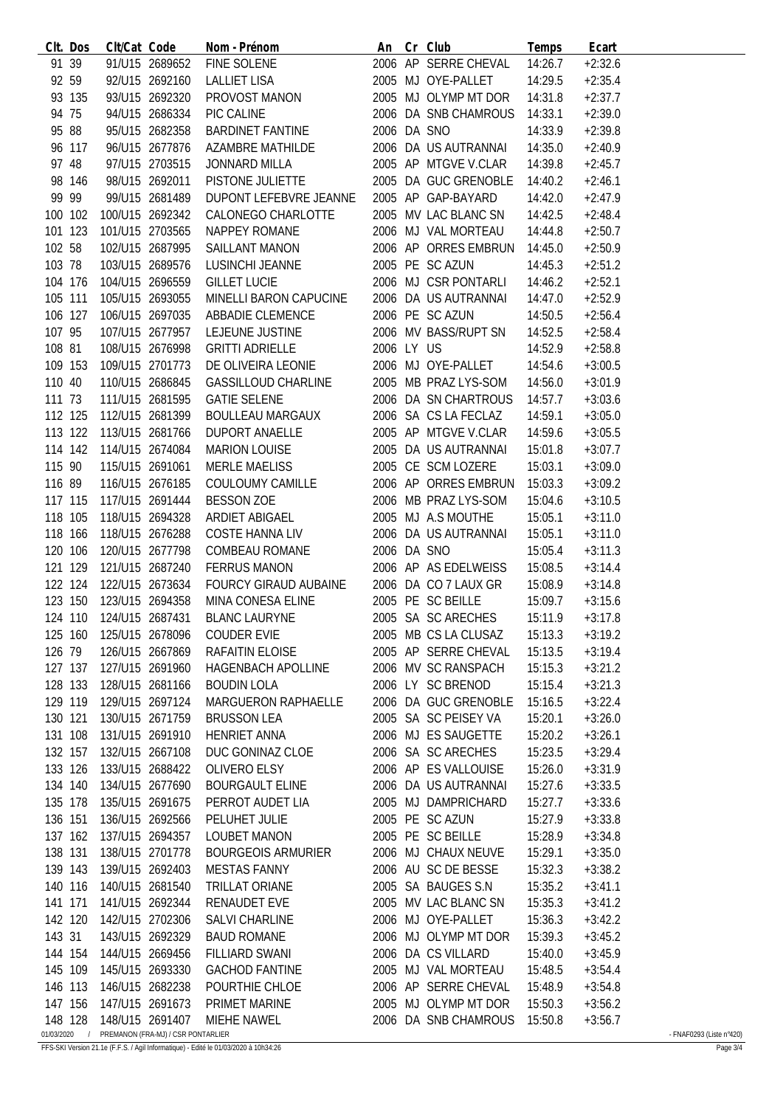|                       | CIt. Dos | Clt/Cat Code    |                                      | Nom - Prénom                        |             | An Cr Club                   | Temps   | Ecart     |                          |
|-----------------------|----------|-----------------|--------------------------------------|-------------------------------------|-------------|------------------------------|---------|-----------|--------------------------|
| 91 39                 |          |                 | 91/U15 2689652                       | FINE SOLENE                         |             | 2006 AP SERRE CHEVAL         | 14:26.7 | $+2:32.6$ |                          |
| 92 59                 |          |                 | 92/U15 2692160                       | <b>LALLIET LISA</b>                 |             | 2005 MJ OYE-PALLET           | 14:29.5 | $+2:35.4$ |                          |
|                       | 93 135   |                 | 93/U15 2692320                       | PROVOST MANON                       |             | 2005 MJ OLYMP MT DOR         | 14:31.8 | $+2:37.7$ |                          |
| 94 75                 |          |                 | 94/U15 2686334                       | PIC CALINE                          |             | 2006 DA SNB CHAMROUS         | 14:33.1 | $+2:39.0$ |                          |
| 95 88                 |          |                 | 95/U15 2682358                       | BARDINET FANTINE                    | 2006 DA SNO |                              | 14:33.9 | $+2:39.8$ |                          |
|                       | 96 117   |                 | 96/U15 2677876                       | AZAMBRE MATHILDE                    |             | 2006 DA US AUTRANNAI         | 14:35.0 | $+2:40.9$ |                          |
| 97 48                 |          |                 | 97/U15 2703515                       | <b>JONNARD MILLA</b>                |             | 2005 AP MTGVE V.CLAR         | 14:39.8 | $+2:45.7$ |                          |
|                       | 98 146   |                 | 98/U15 2692011                       | PISTONE JULIETTE                    |             | 2005 DA GUC GRENOBLE         | 14:40.2 | $+2:46.1$ |                          |
| 99 99                 |          |                 | 99/U15 2681489                       | DUPONT LEFEBVRE JEANNE              |             | 2005 AP GAP-BAYARD           | 14:42.0 | $+2:47.9$ |                          |
| 100 102               |          |                 | 100/U15 2692342                      | CALONEGO CHARLOTTE                  |             | 2005 MV LAC BLANC SN         | 14:42.5 | $+2:48.4$ |                          |
| 101 123               |          |                 | 101/U15 2703565                      | NAPPEY ROMANE                       |             | 2006 MJ VAL MORTEAU          | 14:44.8 | $+2:50.7$ |                          |
| 102 58                |          |                 | 102/U15 2687995                      | SAILLANT MANON                      |             | 2006 AP ORRES EMBRUN         | 14:45.0 | $+2:50.9$ |                          |
| 103 78                |          |                 | 103/U15 2689576                      | LUSINCHI JEANNE                     |             | 2005 PE SC AZUN              | 14:45.3 | $+2:51.2$ |                          |
| 104 176               |          |                 | 104/U15 2696559                      | <b>GILLET LUCIE</b>                 |             | 2006 MJ CSR PONTARLI         | 14:46.2 | $+2:52.1$ |                          |
| 105 111               |          |                 | 105/U15 2693055                      | MINELLI BARON CAPUCINE              |             | 2006 DA US AUTRANNAI         | 14:47.0 | $+2:52.9$ |                          |
| 106 127               |          |                 | 106/U15 2697035                      | <b>ABBADIE CLEMENCE</b>             |             | 2006 PE SC AZUN              | 14:50.5 | $+2:56.4$ |                          |
| 107 95                |          |                 | 107/U15 2677957                      | LEJEUNE JUSTINE                     |             | 2006 MV BASS/RUPT SN         |         |           |                          |
|                       |          |                 | 108/U15 2676998                      |                                     | 2006 LY US  |                              | 14:52.5 | $+2:58.4$ |                          |
| 108 81                |          |                 |                                      | <b>GRITTI ADRIELLE</b>              |             |                              | 14:52.9 | $+2:58.8$ |                          |
| 109 153               |          |                 | 109/U15 2701773                      | DE OLIVEIRA LEONIE                  |             | 2006 MJ OYE-PALLET           | 14:54.6 | $+3:00.5$ |                          |
| 110 40                |          | 110/U15 2686845 |                                      | <b>GASSILLOUD CHARLINE</b>          |             | 2005 MB PRAZ LYS-SOM         | 14:56.0 | $+3:01.9$ |                          |
| 111 73                |          |                 | 111/U15 2681595                      | <b>GATIE SELENE</b>                 |             | 2006 DA SN CHARTROUS         | 14:57.7 | $+3:03.6$ |                          |
| 112 125               |          | 112/U15 2681399 |                                      | BOULLEAU MARGAUX                    |             | 2006 SA CS LA FECLAZ         | 14:59.1 | $+3:05.0$ |                          |
| 113 122               |          | 113/U15 2681766 |                                      | DUPORT ANAELLE                      |             | 2005 AP MTGVE V.CLAR         | 14:59.6 | $+3:05.5$ |                          |
| 114 142               |          |                 | 114/U15 2674084                      | <b>MARION LOUISE</b>                |             | 2005 DA US AUTRANNAI         | 15:01.8 | $+3:07.7$ |                          |
| 115 90                |          |                 | 115/U15 2691061                      | MERLE MAELISS                       |             | 2005 CE SCM LOZERE           | 15:03.1 | $+3:09.0$ |                          |
| 116 89                |          |                 | 116/U15 2676185                      | COULOUMY CAMILLE                    |             | 2006 AP ORRES EMBRUN         | 15:03.3 | $+3:09.2$ |                          |
| 117 115               |          |                 | 117/U15 2691444                      | <b>BESSON ZOE</b>                   |             | 2006 MB PRAZ LYS-SOM         | 15:04.6 | $+3:10.5$ |                          |
| 118 105               |          |                 | 118/U15 2694328                      | ARDIET ABIGAEL                      |             | 2005 MJ A.S MOUTHE           | 15:05.1 | $+3:11.0$ |                          |
| 118 166               |          |                 | 118/U15 2676288                      | COSTE HANNA LIV                     |             | 2006 DA US AUTRANNAI         | 15:05.1 | $+3:11.0$ |                          |
| 120 106               |          |                 | 120/U15 2677798                      | COMBEAU ROMANE                      | 2006 DA SNO |                              | 15:05.4 | $+3:11.3$ |                          |
| 121 129               |          |                 | 121/U15 2687240                      | <b>FERRUS MANON</b>                 |             | 2006 AP AS EDELWEISS         | 15:08.5 | $+3:14.4$ |                          |
| 122 124               |          |                 | 122/U15 2673634                      | FOURCY GIRAUD AUBAINE               |             | 2006 DA CO 7 LAUX GR         | 15:08.9 | $+3:14.8$ |                          |
| 123 150               |          |                 | 123/U15 2694358                      | MINA CONESA ELINE                   |             | 2005 PE SC BEILLE            | 15:09.7 | $+3:15.6$ |                          |
|                       |          |                 | 124 110 124/U15 2687431              | <b>BLANC LAURYNE</b>                |             | 2005 SA SC ARECHES           | 15:11.9 | $+3:17.8$ |                          |
|                       |          |                 |                                      | 125 160 125/U15 2678096 COUDER EVIE |             | 2005 MB CS LA CLUSAZ 15:13.3 |         | $+3:19.2$ |                          |
| 126 79                |          | 126/U15 2667869 |                                      | RAFAITIN ELOISE                     |             | 2005 AP SERRE CHEVAL         | 15:13.5 | $+3:19.4$ |                          |
| 127 137               |          |                 | 127/U15 2691960                      | <b>HAGENBACH APOLLINE</b>           |             | 2006 MV SC RANSPACH          | 15:15.3 | $+3:21.2$ |                          |
| 128 133               |          | 128/U15 2681166 |                                      | <b>BOUDIN LOLA</b>                  |             | 2006 LY SC BRENOD            | 15:15.4 | $+3:21.3$ |                          |
| 129 119               |          | 129/U15 2697124 |                                      | MARGUERON RAPHAELLE                 |             | 2006 DA GUC GRENOBLE         | 15:16.5 | $+3:22.4$ |                          |
| 130 121               |          |                 | 130/U15 2671759                      | <b>BRUSSON LEA</b>                  |             | 2005 SA SC PEISEY VA         | 15:20.1 | $+3:26.0$ |                          |
| 131 108               |          | 131/U15 2691910 |                                      | <b>HENRIET ANNA</b>                 |             | 2006 MJ ES SAUGETTE          | 15:20.2 | $+3:26.1$ |                          |
| 132 157               |          | 132/U15 2667108 |                                      | DUC GONINAZ CLOE                    |             | 2006 SA SC ARECHES           | 15:23.5 | $+3:29.4$ |                          |
| 133 126               |          |                 | 133/U15 2688422                      | OLIVERO ELSY                        |             | 2006 AP ES VALLOUISE         | 15:26.0 | $+3:31.9$ |                          |
| 134 140               |          |                 | 134/U15 2677690                      | <b>BOURGAULT ELINE</b>              |             | 2006 DA US AUTRANNAI         | 15:27.6 | $+3:33.5$ |                          |
| 135 178               |          | 135/U15 2691675 |                                      | PERROT AUDET LIA                    |             | 2005 MJ DAMPRICHARD          | 15:27.7 | $+3:33.6$ |                          |
| 136 151               |          | 136/U15 2692566 |                                      | PELUHET JULIE                       |             | 2005 PE SC AZUN              | 15:27.9 | $+3:33.8$ |                          |
| 137 162               |          | 137/U15 2694357 |                                      | <b>LOUBET MANON</b>                 |             | 2005 PE SC BEILLE            | 15:28.9 | $+3:34.8$ |                          |
| 138 131               |          | 138/U15 2701778 |                                      | <b>BOURGEOIS ARMURIER</b>           |             | 2006 MJ CHAUX NEUVE          | 15:29.1 | $+3:35.0$ |                          |
| 139 143               |          | 139/U15 2692403 |                                      | <b>MESTAS FANNY</b>                 |             | 2006 AU SC DE BESSE          | 15:32.3 | $+3:38.2$ |                          |
| 140 116               |          | 140/U15 2681540 |                                      | <b>TRILLAT ORIANE</b>               |             | 2005 SA BAUGES S.N           | 15:35.2 | $+3:41.1$ |                          |
| 141 171               |          | 141/U15 2692344 |                                      | RENAUDET EVE                        |             | 2005 MV LAC BLANC SN         | 15:35.3 | $+3:41.2$ |                          |
| 142 120               |          | 142/U15 2702306 |                                      |                                     |             | 2006 MJ OYE-PALLET           | 15:36.3 | $+3:42.2$ |                          |
|                       |          |                 |                                      | SALVI CHARLINE                      |             |                              |         |           |                          |
| 143 31                |          |                 | 143/U15 2692329                      | <b>BAUD ROMANE</b>                  |             | 2006 MJ OLYMP MT DOR         | 15:39.3 | $+3:45.2$ |                          |
| 144 154               |          |                 | 144/U15 2669456                      | <b>FILLIARD SWANI</b>               |             | 2006 DA CS VILLARD           | 15:40.0 | $+3:45.9$ |                          |
| 145 109               |          |                 | 145/U15 2693330                      | <b>GACHOD FANTINE</b>               |             | 2005 MJ VAL MORTEAU          | 15:48.5 | $+3:54.4$ |                          |
| 146 113               |          |                 | 146/U15 2682238                      | POURTHIE CHLOE                      |             | 2006 AP SERRE CHEVAL         | 15:48.9 | $+3:54.8$ |                          |
| 147 156               |          |                 | 147/U15 2691673                      | PRIMET MARINE                       |             | 2005 MJ OLYMP MT DOR         | 15:50.3 | $+3:56.2$ |                          |
| 148 128<br>01/03/2020 |          | 148/U15 2691407 | / PREMANON (FRA-MJ) / CSR PONTARLIER | MIEHE NAWEL                         |             | 2006 DA SNB CHAMROUS         | 15:50.8 | $+3:56.7$ | - FNAF0293 (Liste n°420) |
|                       |          |                 |                                      |                                     |             |                              |         |           |                          |

FFS-SKI Version 21.1e (F.F.S. / Agil Informatique) - Edité le 01/03/2020 à 10h34:26 Page 3/4